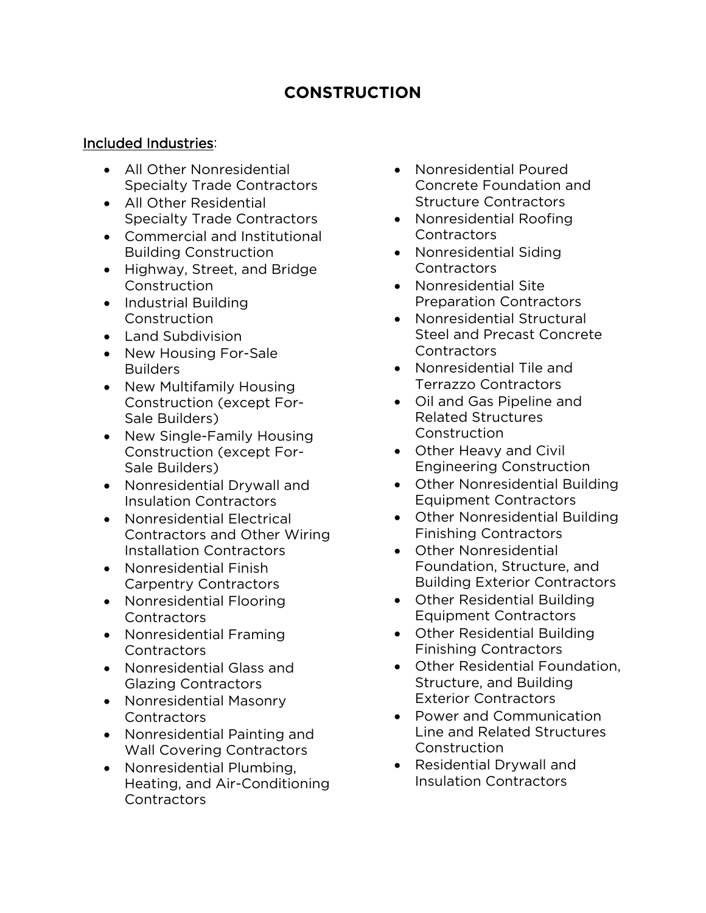## **CONSTRUCTION**

## Included Industries:

- All Other Nonresidential Specialty Trade Contractors
- All Other Residential Specialty Trade Contractors
- Commercial and Institutional Building Construction
- Highway, Street, and Bridge **Construction**
- Industrial Building Construction
- Land Subdivision
- New Housing For-Sale Builders
- New Multifamily Housing Construction (except For-Sale Builders)
- New Single-Family Housing Construction (except For-Sale Builders)
- Nonresidential Drywall and Insulation Contractors
- Nonresidential Electrical Contractors and Other Wiring Installation Contractors
- Nonresidential Finish Carpentry Contractors
- Nonresidential Flooring **Contractors**
- Nonresidential Framing **Contractors**
- Nonresidential Glass and Glazing Contractors
- Nonresidential Masonry **Contractors**
- Nonresidential Painting and Wall Covering Contractors
- Nonresidential Plumbing, Heating, and Air-Conditioning **Contractors**
- Nonresidential Poured Concrete Foundation and Structure Contractors
- Nonresidential Roofing **Contractors**
- Nonresidential Siding Contractors
- Nonresidential Site Preparation Contractors
- Nonresidential Structural Steel and Precast Concrete **Contractors**
- Nonresidential Tile and Terrazzo Contractors
- Oil and Gas Pipeline and Related Structures Construction
- Other Heavy and Civil Engineering Construction
- Other Nonresidential Building Equipment Contractors
- Other Nonresidential Building Finishing Contractors
- Other Nonresidential Foundation, Structure, and Building Exterior Contractors
- Other Residential Building Equipment Contractors
- Other Residential Building Finishing Contractors
- Other Residential Foundation, Structure, and Building Exterior Contractors
- Power and Communication Line and Related Structures **Construction**
- Residential Drywall and Insulation Contractors